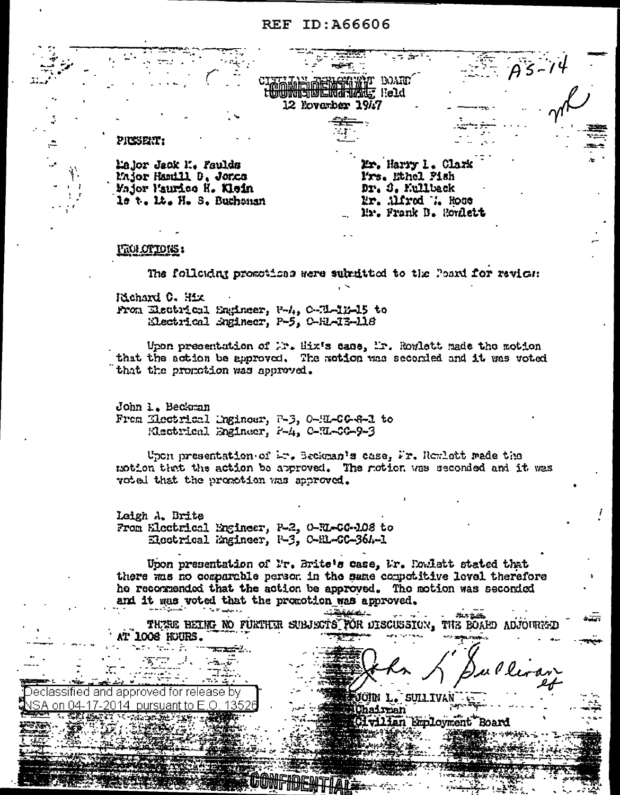# **REF ID: A66606**

T BOARD **倒亡的才可然在? Reld** 12 November 1947

#### PRESERT:

Lajor Jack M. Faulds Major Hamill D. Jonca Major Paurico K. Klein le t. M. H. S. Buchenan

Mr. Harry 1. Clark Prs. Ethel Pish Dr. S. Kullback Mr. Alfred W. Rose Mr. Frank B. Horflett

i

## <u> FROI OT TONS :</u>

Declassified and approved for release by

on 04-17-2014 pursuant to  $E$  O

The following promotions were submitted to the Poard for revies:

Kichard C. Hix

From Electrical Engineer, P-4, C-71-1E-15 to Electrical Engineer, P-5, C-H1-13-118

Upon presentation of Mr. Hix's case, Mr. Rowlett made the motion that the action be approved. The motion was seconded and it was voted that the promotion was approved.

John 1. Beckman From Electrical Engineer, 7-3, 0-EL-CG-8-1 to Electrical Engineer, P-4, C-EL-CG-9-3

Upon presentation of Lr. Beckman's case, Fr. Remlett made the notion that the action be approved. The notion was seconded and it was voted that the promotion was approved.

Leigh A. Brite From Electrical Engineer, P-2, 0-RI-CG-108 to Electrical Engineer, P-3, C-EL-SC-364-1

Upon presentation of Nr. Brite's case, Mr. Rowlett stated that there was no comparable person in the same competitive level therefore he recommended that the action be approved. The motion was seconded and it was voted that the promotion was approved.

ــباقىققىت **SLA LUE** THERE BEING NO FURTHER SUBJECTS FOR DISCUSSION, THE BOARD ADJOURNED at 1008 huurs.

jüin l.

hairman

**SULL** 

**vilian Employment Board**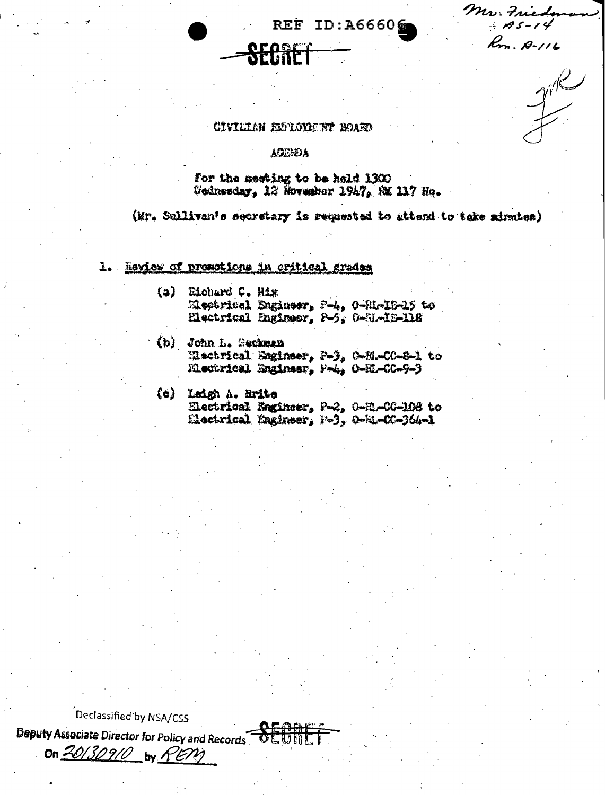Mr. Fried  $-185 - 14$ Rom. 12-116

 $\mathcal{I}^{\mathcal{R}}$ 

# CIVILIAN EUPLOYMUNT BOARD

**ACUMBA** 

For the meeting to be held 1300 Wednesday, 12 November 1947, NM 117 Ho.

(Mr. Sullivan's secretary is requested to attend to take minutes)

REF ID: A66606

1. Review of promotions in critical grades

- (a) Richard C. Hix Electrical Engineer, P-4, 0-SI-IE-15 to Electrical Engineer, P-5, 0-SI-IS-118
- (b) John L. Beckman Electrical Engineer, P-3, O-EL-CC-8-1 to Electrical Engineer, P-4, 0-EL-CC-9-3
	- (c) Leigh A. Brite Electrical Engineer, P-2, 0-EL-CG-108 to Electrical Engineer, P-3, 0-RL-CC-364-1

Declassified by NSA/CSS Deputy Associate Director for Policy and Records

On 20130910 by REM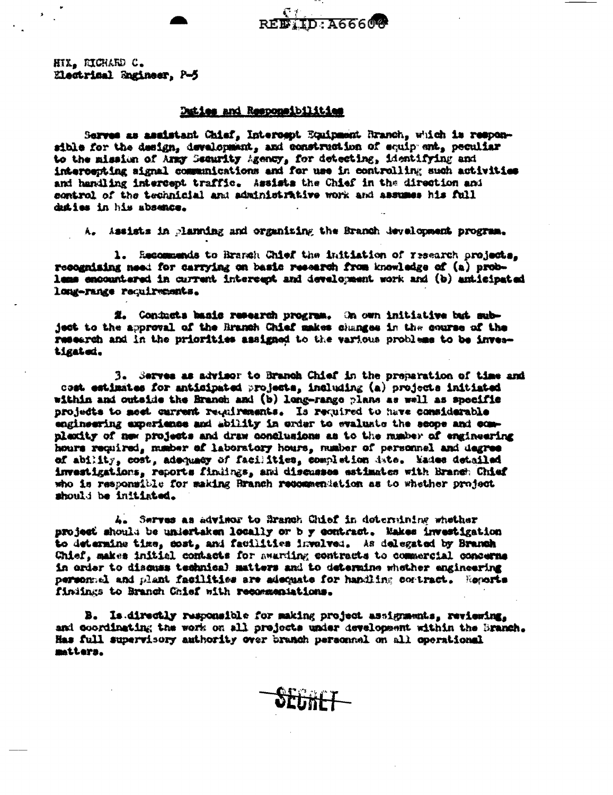HIX. RICHARD C. Electrical Engineer, P-5

#### Daties and Responsibilities

Serves as assistant Chief, Intercept Equipment Branch, which is responsible for the design, development, and construction of equip ant, peculiar to the mission of Army Security Agency, for detecting, identifying and intercepting signal communications and for use in controlling such activities and handling intercept traffic. Assists the Chief in the direction and control of the technicial and administrative work and assumes his full duties in his absence.

A. Assists in planning and organizing the Branch development program.

1. Recommends to Branch Chief the initiation of research projects, recognizing need for carrying on basic research from knowledge of (a) problems encountered in current intercept and development work and (b) anticipated long-range requirements.

E. Conducts basis reserch program. On own initiative but subject to the approval of the Branch Chief makes changes in the course of the research and in the priorities assigned to the various probleme to be investigated.

3. Serves as advisor to Branch Chief in the preparation of time and cost estimates for anticipated projects, including (a) projects initiated within and outside the Branch and (b) long-range plans as well as specific projects to meet current requirements. Is required to have considerable engineering axperiance and ability in order to evaluate the scope and complexity of new projects and draw conclusions as to the manber of engineering hours required, member of laboratory hours, mumber of personnel and degree of ability, cost, adoquacy of facilities, completion date. Mades detailed investigations, reports findings, and discusses estimates with Branch Chief who is responsible for making Branch recommendation as to whether project should be initiated.

4. Serves as advisor to Branch Chief in determining whether project should be undertaken locally or b y contract. Makes investigation to determine time, cost, and facilities involved. As delegated by Branch Chief, makes initial contacts for awarding contracts to commercial concerns in order to discuss technical matters and to determine whether engineering personnel and plant facilities are adequate for handling contract. Regarts finiings to Branch Chief with recommentations.

B. Is directly responsible for making project assignments, reviewing. and coordinating the work on all prejects under development within the Branch. Has full supervisory amthority over branch personnel on all operational matters.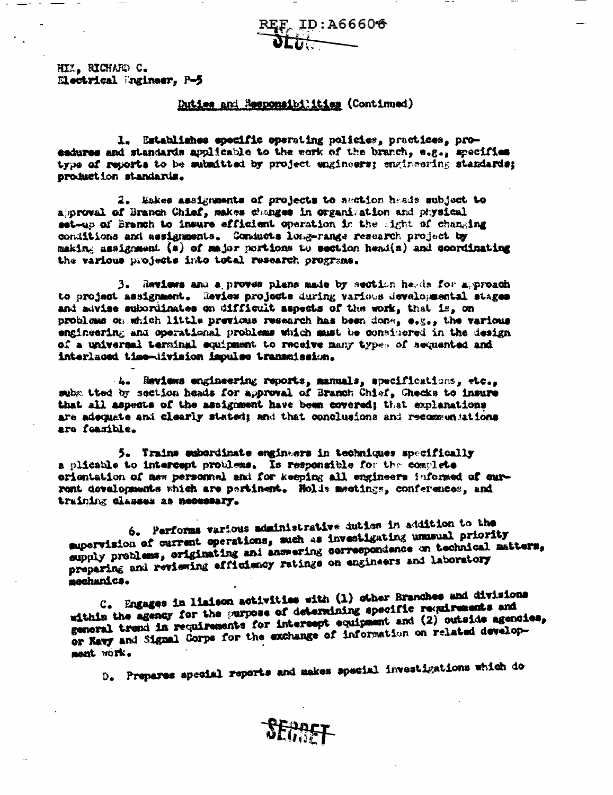REF ID:A66606

HIZ, RICHARD C. Electrical Ingineer, P-5

#### Duties and Responsibilities (Continued)

1. Establishes specific operating policies, practices, proesdures and standards applicable to the work of the branch, e.g., specifies type of reports to be submitted by project engineers; engineering standards; production standards.

2. Makes assignments of projects to section heads subject to approval of Branch Chief, makes changes in organization and physical set-up of Branch to insure efficient operation in the light of changing conditions and assignments. Conducts long-range research project by making assignment (s) of major portions to section head(s) and coordinating the various projects into total research programs.

3. Reviews and a proves plans made by section herds for approach to project assignment. Review projects during various developmental stages and advise subordinates on difficult aspects of the work, that is, on problems on which little previous research has been done, e.g., the various engineering and operational problems which must be considered in the design of a universal terminal equipment to receive many types of sequented and interlaced time-division impulse transmission.

4. Reviews engineering reports, manuals, specifications, etc., subm tted by section heads for approval of Branch Chief, Checks to insure that all aspects of the assignment have been covered; that explanations are adoquate and clearly stated; and that conclusions and recommentations ara feasible.

5. Trains subordinate engineers in techniques specifically a plicable to intercept problems. Is responsible for the complete orientation of new personnel and for keeping all engineers informed of current developments which are pertinent. Holds meetings, conferences, and training classes as necessary.

6. Performs various administrative duties in addition to the supervision of current operations, such as investigating unusual priority supply problems, originating ani answering correspondence on technical matters, preparing and reviewing effleiency ratings on engineers and laboratory sechanics.

C. Engages in liaison activities with (1) other Branches and divisions within the agency for the purpose of determining specific requirements and general trend in requirements for intercept equipment and (2) outside agencies, or Navy and Signal Corps for the exchange of information on related development work.

D. Prepares special reports and makes special investigations which do

**SFRAST**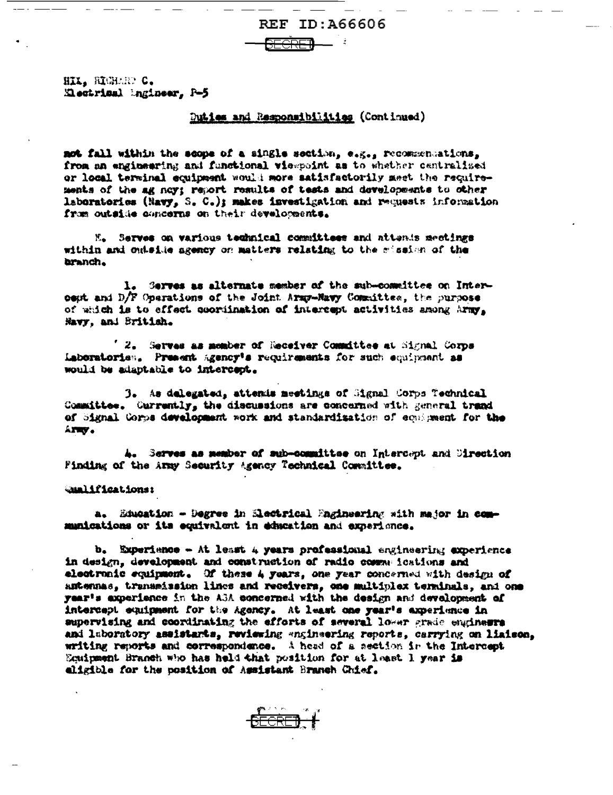HIX. RIGHARD C. Electrical Ingineer, P-5

## Duties and Responsibilities (Continued)

not fall within the scope of a single section, e.g., recommentions, from an engineering and functional viempoint as to whether centralized or local terminal equipment would more satisfactorily meet the requirements of the ag ney: report results of tests and developments to other laboratorics (Navy, S. C.); makes investigation and requests information from outside concerns on their developments.

M. Serves on various technical committees and attents mectings within and outside agency on matters relating to the mission of the branch.

1. Serves as alternate member of the sub-committee on Intercept and D/F Operations of the Joint Army-Mavy Committee, the purpose of which is to effect coordination of intercept activities among Army, Navy, and British.

 $'$  2. Serves as momber of Receiver Committee at Signal Corps Laboratories. Present Agency's requirements for such equipment as would be adaptable to intercept.

3. As delegated, attends meetings of Signal Corps Technical Committee. Currently, the discussions are concerned with general trand of Signal Corps development work and standardization of equipment for the ATEV.

4. Serves as member of sub-committee on Intercept and Sirection Finding of the Army Security Agency Technical Committee.

Qualifications:

a. Education - Degree in Electrical Engineering with major in commanications or its equivalent in education and experience.

b. Experience - At least 4 years professional engineering experience in design, development and construction of radio comme ications and electronic equipment. Of these 4 years, one year concerned with design of antennas, transmission lines and receivers, one multiplex terminals, and one year's apperience in the ABA concerned with the design and development of intercept equipment for the Agency. At least one year's axperience in supervising and coordinating the efforts of several lower grade enginesrs and laboratory assistants, reviewing «nginsering reports, carrying on liaison, writing reports and correspondence. A head of a section in the Intercept Equipment Branch who has held that position for at least 1 year is eligible for the position of Assistant Branch Chief.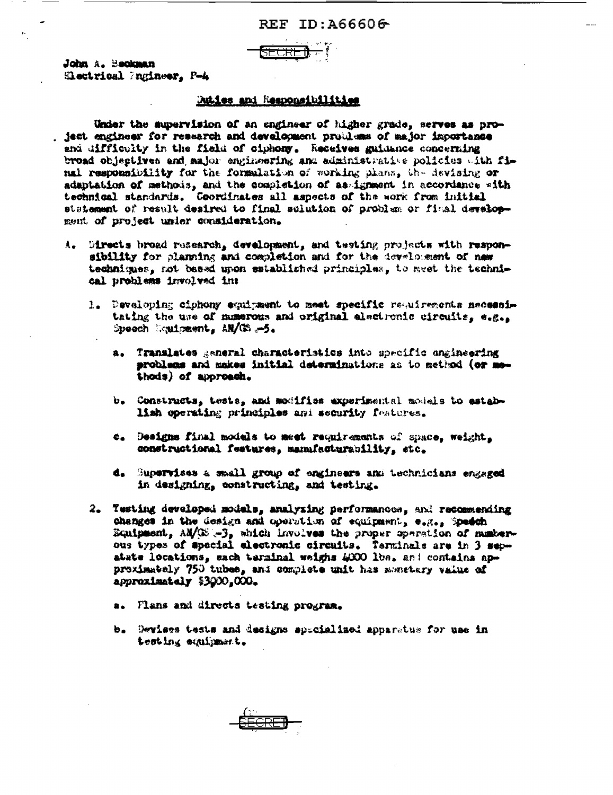

# **Duties and Responsibilities**

Under the supervision of an engineer of higher grade, serves as project engineer for research and development problems of major importance and difficulty in the field of ciphony. Receives guidance concerning broad objectives and sajor engineering and administrative policies with final responsibility for the formulation of working plans, the devising or adaptation of methods, and the completion of as ignment in accordance with technical standards. Coordinates all aspects of the work from initial statement of result desired to final solution of problem or final development of project under consideration.

- A. Directs broad research, development, and testing projects with responsibility for planning and completion and for the development of new techniques, not based upon established principles, to meet the technical problems involved in:
	- 1. Developing ciphony equipment to meet specific requirements mecessitating the use of momerous and original electronic circuits, e.g., Speech Louisment, AH/CS -5.
		- a. Translates general characteristics into specific angineering problems and makes initial determinations as to method (or methods) of approach.
		- b. Constructs, tests, and modifies experimental models to establish operating principles and security features.
		- c. Designs final models to meet requirements of space, weight, constructional features, manufacturability, etc.
		- d. Supervises a small group of engineers and technicians engaged in designing, constructing, and testing.
	- 2. Testing developed models, analyzing performances, and recommending changes in the design and operation of equipment, e.g., Speech Equipment, AM/IE -3, which involves the proper operation of numberous types of special electronic circuits. Terminals are in 3 sepatate locations, each terminal weighs 4000 lbs. and contains approximately 750 tubes, and complete unit has sometery value of approximately \$3000,000.
		- a. Flans and directs testing program.
		- b. Devises tests and designs spacialized apparatus for use in testing equipment.

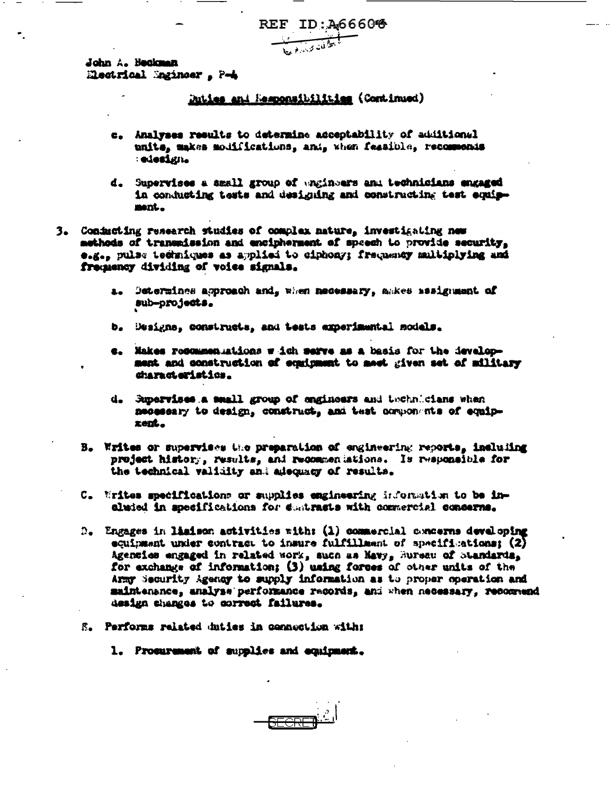REF ID: 466606

John A. Beckman Electrical Sminoer, P-4

# Duties and Responsibilities (Continued)

- c. Analyses results to determine acceptability of additional unite, makes modifications, and, when feasible, recomments : edesign.
- d. Supervises a small group of engineers and technicians engaged in conducting tests and designing and constructing test equipment.
- 3. Conducting research studies of complex nature, investigating new methods of transmission and encipherment of speech to provide security, e.g., pulse techniques as applied to ciphony; frequency multiplying and frequency dividing of voice signals.
	- Determines approach and, when necessary, ankes sasignment of  $2$ sub-projects.
	- b. Besigna, constructs, and tests experimental models.
	- c. Makes recommen utions w ich serve as a basis for the ievelopment and construction of equipment to meet given set of military characteristics.
	- d. Supervises a small group of engineers and technicians when necessary to design, construct, and test components of equiprent.
	- B. Writes or supervises the preparation of engineering reports, including project history, results, and recommeniations. Is responsible for the technical validity and adequacy of results.
	- C. Writes specifications or supplies engineering information to be inaluded in specifications for destracts with commercial concerns.
	- D. Engages in limison activities with: (1) commercial concerns developing equipment under contract to insure fulfillment of specifications: (2) Agencies engaged in related work, such as Mavy, hursau of Standards, for exchange of information; (3) using forces of other units of the Army Security Agency to supply information as to proper operation and maintenance, analyse performance records, and when necessary, recommend design changes to correct failures.
	- E. Performs related duties in connection with:
		- 1. Procurement of supplies and equipment.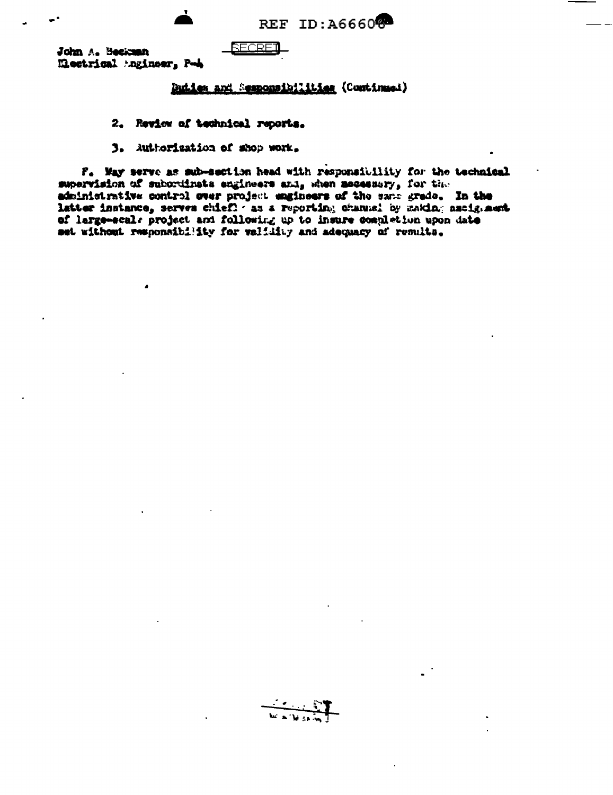REF ID: A66608

John A. Beckenn Meetrical Agineer, P-4

# **RECRET**

# Duties and Sesponsibilities (Continued)

# 2. Review of technical reports.

3. Authorization of shop work.

F. May serve as sub-section head with responsibility for the technical supervision of subordinate engineers and, when mecessary, for the administrative control over project engineers of the same grade. In the latter instance, serves chief! as a reporting channel by making assignment of large-scale project and following up to insure completion upon date set without responsibility for validity and adequacy of results.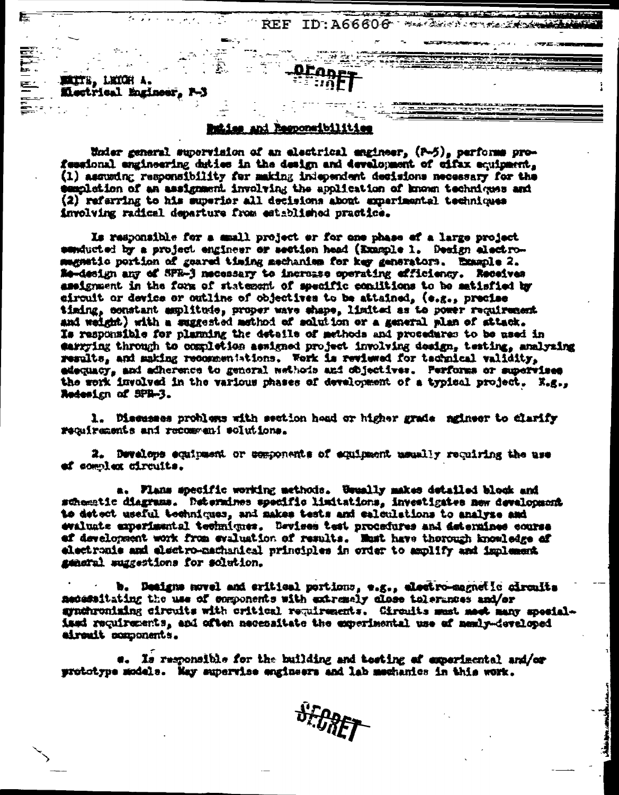MALTE, LKICH A. Mactrical Engineer, P-)

Ē

# Responsibilities

Under general supervision of an electrical engineer, (P-5), performs professional engineering duties in the design and development of cifax equipment, (1) assuming responsibility for making independent desisions necessary for the semplation of an assignment involving the application of known techniques and (2) referring to his superior all decisions about amperimental techniques involving radical departure from established practice.

**REF ID:A66606** 

Hand Barrett is a string of the State of the

Is responsible for a small project or for one phase of a large project senducted by a project engineer or section head (Example 1. Design alectromagnatio portion of geared timing mechaniem for key generators. Example 2. **Ne-design any of SPR-3 mecessary to increase operating efficiency. Receives** assignment in the form of statement of specific conditions to be satisfied by eirouit or device or outline of objectives to be attained, (e.g., precise timing, constant amplitude, proper wave shape, limited as to power requirement and weight) with a suggested method of solution or a general plan of sttack. Is responsible for planning the details of methods and procedures to be used in earrying through to completion assigned project involving deaign, testing, analyzing results, and making recommentations. Work is reviewed for technical validity, adequacy, and adherence to general wethods and objectives. Performs or supervises the work involved in the various phases of development of a typical project. X.g.. Redesign of SPR-3.

1. Diessees problems with section hoad or higher grade mgineer to clarify requirements and recommeni solutions.

2. Develops equipment or components of equipment memally requiring the use ef complex circuits.

a. Flans specific working methods. Usually makes detailed block and schematic diagrams. Determines specific limitations, investigates new devalopment to detect useful techniques, and makes tests and calculations to analyze and evaluate experimental techniques. Devises test procedures and determines course ef development work from evaluation of results. Must have thorough knowledge of electronis and electro-machanical principles in order to amplify and implement general suggestions for solution.

b. Designs novel and critical portions, e.g., electro-magnetic circults medessitating the use of semponents with extremely close tolerances and/or synchronising circuits with critical requirements. Circuits must meet many specialised requirements, and often necessitate the experimental use of member developed airenit components.

Is responsible for the building and testing of experimental and/or prototype models. May supervise engineers and lab mechanics in this work.

**SEPPET**